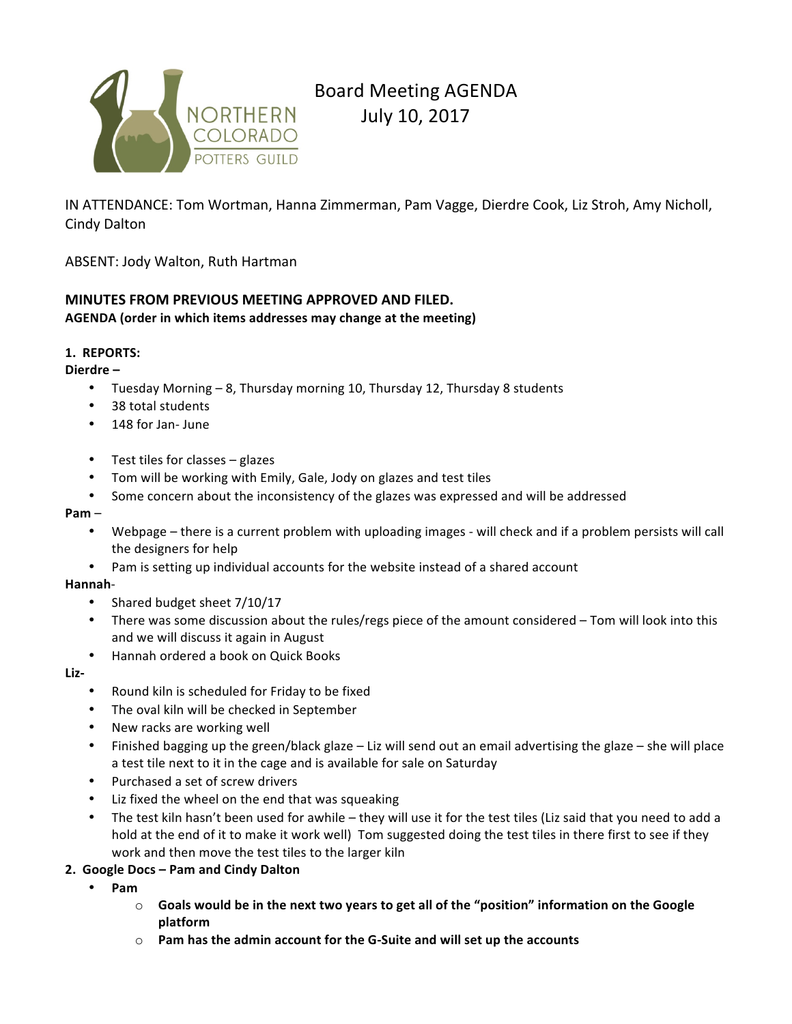

# Board Meeting AGENDA July 10, 2017

IN ATTENDANCE: Tom Wortman, Hanna Zimmerman, Pam Vagge, Dierdre Cook, Liz Stroh, Amy Nicholl, Cindy Dalton

ABSENT: Jody Walton, Ruth Hartman

# **MINUTES FROM PREVIOUS MEETING APPROVED AND FILED.**

AGENDA (order in which items addresses may change at the meeting)

# **1. REPORTS:**

Dierdre –

- Tuesday Morning 8, Thursday morning 10, Thursday 12, Thursday 8 students
- 38 total students
- 148 for Jan- June
- Test tiles for classes  $-$  glazes
- Tom will be working with Emily, Gale, Jody on glazes and test tiles
- Some concern about the inconsistency of the glazes was expressed and will be addressed

#### **Pam** –

- Webpage there is a current problem with uploading images will check and if a problem persists will call the designers for help
- Pam is setting up individual accounts for the website instead of a shared account

## **Hannah**-

- Shared budget sheet 7/10/17
- There was some discussion about the rules/regs piece of the amount considered Tom will look into this and we will discuss it again in August
- Hannah ordered a book on Quick Books

## **Liz-**

- Round kiln is scheduled for Friday to be fixed
- The oval kiln will be checked in September
- New racks are working well
- Finished bagging up the green/black glaze  $-$  Liz will send out an email advertising the glaze  $-$  she will place a test tile next to it in the cage and is available for sale on Saturday
- Purchased a set of screw drivers
- Liz fixed the wheel on the end that was squeaking
- The test kiln hasn't been used for awhile they will use it for the test tiles (Liz said that you need to add a hold at the end of it to make it work well) Tom suggested doing the test tiles in there first to see if they work and then move the test tiles to the larger kiln

# **2. Google Docs – Pam and Cindy Dalton**

- **Pam** 
	- $\circ$  Goals would be in the next two years to get all of the "position" information on the Google **platform**
	- o **Pam has the admin account for the G-Suite and will set up the accounts**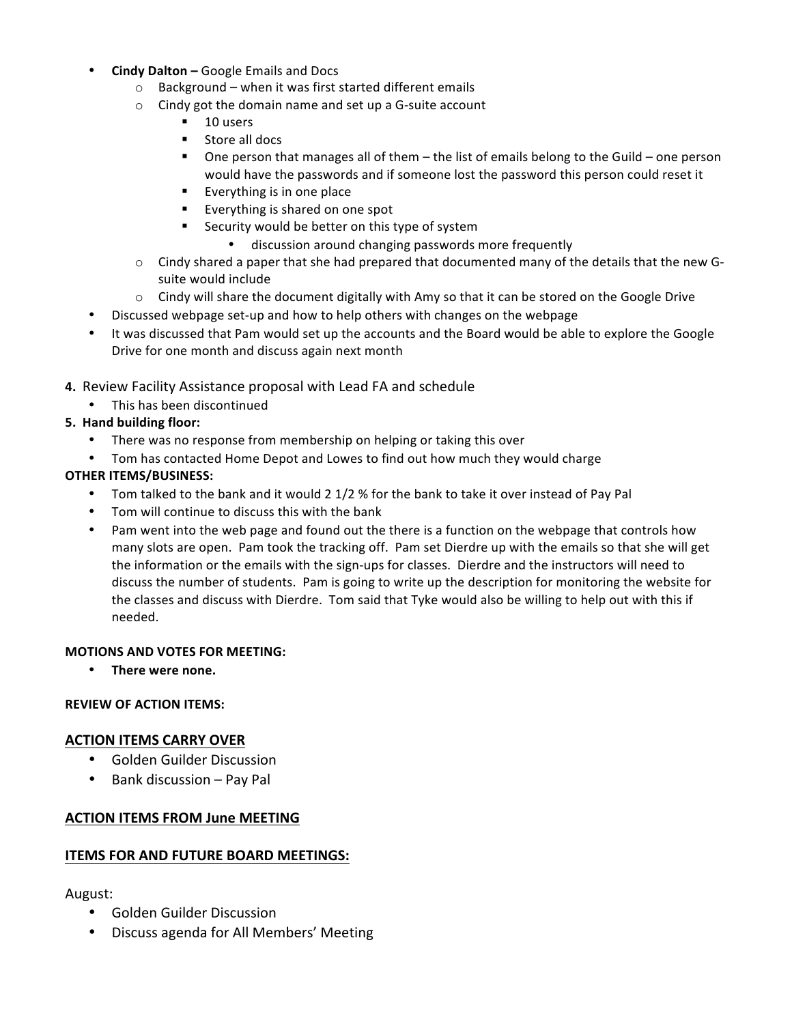- **Cindy Dalton Google Emails and Docs** 
	- $\circ$  Background when it was first started different emails
	- $\circ$  Cindy got the domain name and set up a G-suite account
		- $\blacksquare$  10 users
		- Store all docs
		- **.** One person that manages all of them  $-$  the list of emails belong to the Guild  $-$  one person would have the passwords and if someone lost the password this person could reset it
		- **Exerything is in one place**
		- **Everything is shared on one spot**
		- **EXECUTE:** Security would be better on this type of system
			- discussion around changing passwords more frequently
	- $\circ$  Cindy shared a paper that she had prepared that documented many of the details that the new Gsuite would include
	- $\circ$  Cindy will share the document digitally with Amy so that it can be stored on the Google Drive
	- Discussed webpage set-up and how to help others with changes on the webpage
- It was discussed that Pam would set up the accounts and the Board would be able to explore the Google Drive for one month and discuss again next month
- **4.** Review Facility Assistance proposal with Lead FA and schedule
	- This has been discontinued

# **5. Hand building floor:**

- There was no response from membership on helping or taking this over
- Tom has contacted Home Depot and Lowes to find out how much they would charge

# **OTHER ITEMS/BUSINESS:**

- Tom talked to the bank and it would 2 1/2 % for the bank to take it over instead of Pay Pal
- Tom will continue to discuss this with the bank
- Pam went into the web page and found out the there is a function on the webpage that controls how many slots are open. Pam took the tracking off. Pam set Dierdre up with the emails so that she will get the information or the emails with the sign-ups for classes. Dierdre and the instructors will need to discuss the number of students. Pam is going to write up the description for monitoring the website for the classes and discuss with Dierdre. Tom said that Tyke would also be willing to help out with this if needed.

## **MOTIONS AND VOTES FOR MEETING:**

• There were none.

## **REVIEW OF ACTION ITEMS:**

## **ACTION ITEMS CARRY OVER**

- Golden Guilder Discussion
- $\bullet$  Bank discussion Pay Pal

# **ACTION ITEMS FROM June MEETING**

## **ITEMS FOR AND FUTURE BOARD MEETINGS:**

# August:

- Golden Guilder Discussion
- Discuss agenda for All Members' Meeting